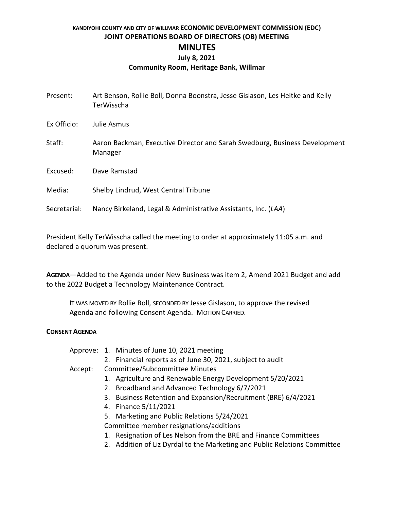# **KANDIYOHI COUNTY AND CITY OF WILLMAR ECONOMIC DEVELOPMENT COMMISSION (EDC) JOINT OPERATIONS BOARD OF DIRECTORS (OB) MEETING MINUTES July 8, 2021 Community Room, Heritage Bank, Willmar**

| Present:     | Art Benson, Rollie Boll, Donna Boonstra, Jesse Gislason, Les Heitke and Kelly<br>TerWisscha |
|--------------|---------------------------------------------------------------------------------------------|
| Ex Officio:  | Julie Asmus                                                                                 |
| Staff:       | Aaron Backman, Executive Director and Sarah Swedburg, Business Development<br>Manager       |
| Excused:     | Dave Ramstad                                                                                |
| Media:       | Shelby Lindrud, West Central Tribune                                                        |
| Secretarial: | Nancy Birkeland, Legal & Administrative Assistants, Inc. (LAA)                              |

President Kelly TerWisscha called the meeting to order at approximately 11:05 a.m. and declared a quorum was present.

**AGENDA**—Added to the Agenda under New Business was item 2, Amend 2021 Budget and add to the 2022 Budget a Technology Maintenance Contract.

IT WAS MOVED BY Rollie Boll, SECONDED BY Jesse Gislason, to approve the revised Agenda and following Consent Agenda. MOTION CARRIED.

### **CONSENT AGENDA**

|         |                                | Approve: 1. Minutes of June 10, 2021 meeting                              |  |
|---------|--------------------------------|---------------------------------------------------------------------------|--|
|         |                                | 2. Financial reports as of June 30, 2021, subject to audit                |  |
| Accept: | Committee/Subcommittee Minutes |                                                                           |  |
|         |                                | 1. Agriculture and Renewable Energy Development 5/20/2021                 |  |
|         |                                | 2. Broadband and Advanced Technology 6/7/2021                             |  |
|         |                                | 3. Business Retention and Expansion/Recruitment (BRE) 6/4/2021            |  |
|         |                                | 4. Finance 5/11/2021                                                      |  |
|         |                                | 5. Marketing and Public Relations 5/24/2021                               |  |
|         |                                | Committee member resignations/additions                                   |  |
|         | 1.                             | Resignation of Les Nelson from the BRE and Finance Committees             |  |
|         |                                | 2. Addition of Liz Dyrdal to the Marketing and Public Relations Committee |  |
|         |                                |                                                                           |  |
|         |                                |                                                                           |  |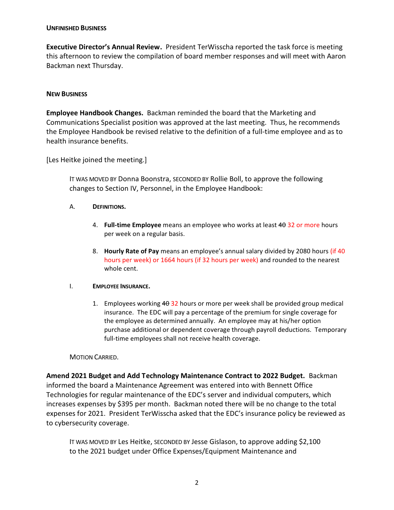#### **UNFINISHED BUSINESS**

**Executive Director's Annual Review.** President TerWisscha reported the task force is meeting this afternoon to review the compilation of board member responses and will meet with Aaron Backman next Thursday.

### **NEW BUSINESS**

**Employee Handbook Changes.** Backman reminded the board that the Marketing and Communications Specialist position was approved at the last meeting. Thus, he recommends the Employee Handbook be revised relative to the definition of a full-time employee and as to health insurance benefits.

[Les Heitke joined the meeting.]

IT WAS MOVED BY Donna Boonstra, SECONDED BY Rollie Boll, to approve the following changes to Section IV, Personnel, in the Employee Handbook:

- A. **DEFINITIONS.**
	- 4. **Full-time Employee** means an employee who works at least 40 32 or more hours per week on a regular basis.
	- 8. **Hourly Rate of Pay** means an employee's annual salary divided by 2080 hours (if 40 hours per week) or 1664 hours (if 32 hours per week) and rounded to the nearest whole cent.

#### I. **EMPLOYEE INSURANCE.**

1. Employees working  $4\theta$  32 hours or more per week shall be provided group medical insurance. The EDC will pay a percentage of the premium for single coverage for the employee as determined annually. An employee may at his/her option purchase additional or dependent coverage through payroll deductions. Temporary full-time employees shall not receive health coverage.

#### MOTION CARRIED.

**Amend 2021 Budget and Add Technology Maintenance Contract to 2022 Budget.** Backman informed the board a Maintenance Agreement was entered into with Bennett Office Technologies for regular maintenance of the EDC's server and individual computers, which increases expenses by \$395 per month. Backman noted there will be no change to the total expenses for 2021. President TerWisscha asked that the EDC's insurance policy be reviewed as to cybersecurity coverage.

IT WAS MOVED BY Les Heitke, SECONDED BY Jesse Gislason, to approve adding \$2,100 to the 2021 budget under Office Expenses/Equipment Maintenance and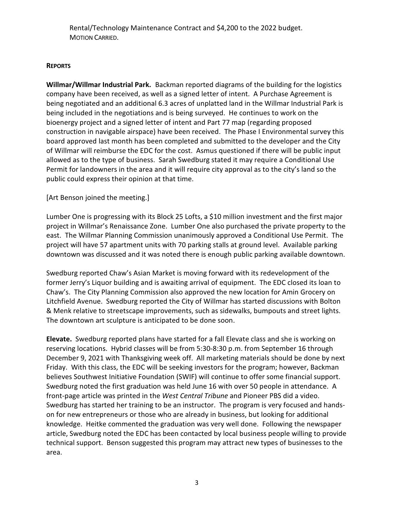Rental/Technology Maintenance Contract and \$4,200 to the 2022 budget. MOTION CARRIED.

## **REPORTS**

**Willmar/Willmar Industrial Park.** Backman reported diagrams of the building for the logistics company have been received, as well as a signed letter of intent. A Purchase Agreement is being negotiated and an additional 6.3 acres of unplatted land in the Willmar Industrial Park is being included in the negotiations and is being surveyed. He continues to work on the bioenergy project and a signed letter of intent and Part 77 map (regarding proposed construction in navigable airspace) have been received. The Phase I Environmental survey this board approved last month has been completed and submitted to the developer and the City of Willmar will reimburse the EDC for the cost. Asmus questioned if there will be public input allowed as to the type of business. Sarah Swedburg stated it may require a Conditional Use Permit for landowners in the area and it will require city approval as to the city's land so the public could express their opinion at that time.

[Art Benson joined the meeting.]

Lumber One is progressing with its Block 25 Lofts, a \$10 million investment and the first major project in Willmar's Renaissance Zone. Lumber One also purchased the private property to the east. The Willmar Planning Commission unanimously approved a Conditional Use Permit. The project will have 57 apartment units with 70 parking stalls at ground level. Available parking downtown was discussed and it was noted there is enough public parking available downtown.

Swedburg reported Chaw's Asian Market is moving forward with its redevelopment of the former Jerry's Liquor building and is awaiting arrival of equipment. The EDC closed its loan to Chaw's. The City Planning Commission also approved the new location for Amin Grocery on Litchfield Avenue. Swedburg reported the City of Willmar has started discussions with Bolton & Menk relative to streetscape improvements, such as sidewalks, bumpouts and street lights. The downtown art sculpture is anticipated to be done soon.

**Elevate.** Swedburg reported plans have started for a fall Elevate class and she is working on reserving locations. Hybrid classes will be from 5:30-8:30 p.m. from September 16 through December 9, 2021 with Thanksgiving week off. All marketing materials should be done by next Friday. With this class, the EDC will be seeking investors for the program; however, Backman believes Southwest Initiative Foundation (SWIF) will continue to offer some financial support. Swedburg noted the first graduation was held June 16 with over 50 people in attendance. A front-page article was printed in the *West Central Tribune* and Pioneer PBS did a video. Swedburg has started her training to be an instructor. The program is very focused and handson for new entrepreneurs or those who are already in business, but looking for additional knowledge. Heitke commented the graduation was very well done. Following the newspaper article, Swedburg noted the EDC has been contacted by local business people willing to provide technical support. Benson suggested this program may attract new types of businesses to the area.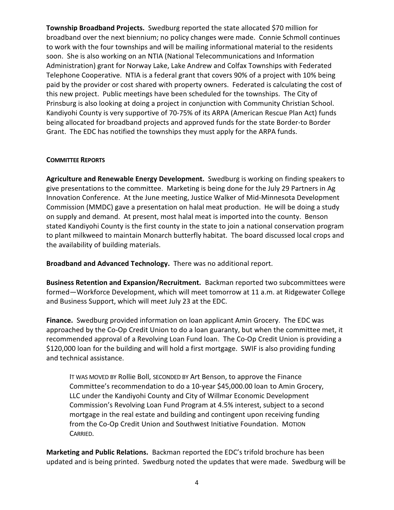**Township Broadband Projects.** Swedburg reported the state allocated \$70 million for broadband over the next biennium; no policy changes were made. Connie Schmoll continues to work with the four townships and will be mailing informational material to the residents soon. She is also working on an NTIA (National Telecommunications and Information Administration) grant for Norway Lake, Lake Andrew and Colfax Townships with Federated Telephone Cooperative. NTIA is a federal grant that covers 90% of a project with 10% being paid by the provider or cost shared with property owners. Federated is calculating the cost of this new project. Public meetings have been scheduled for the townships. The City of Prinsburg is also looking at doing a project in conjunction with Community Christian School. Kandiyohi County is very supportive of 70-75% of its ARPA (American Rescue Plan Act) funds being allocated for broadband projects and approved funds for the state Border-to Border Grant. The EDC has notified the townships they must apply for the ARPA funds.

### **COMMITTEE REPORTS**

**Agriculture and Renewable Energy Development.** Swedburg is working on finding speakers to give presentations to the committee. Marketing is being done for the July 29 Partners in Ag Innovation Conference. At the June meeting, Justice Walker of Mid-Minnesota Development Commission (MMDC) gave a presentation on halal meat production. He will be doing a study on supply and demand. At present, most halal meat is imported into the county. Benson stated Kandiyohi County is the first county in the state to join a national conservation program to plant milkweed to maintain Monarch butterfly habitat. The board discussed local crops and the availability of building materials.

**Broadband and Advanced Technology.** There was no additional report.

**Business Retention and Expansion/Recruitment.** Backman reported two subcommittees were formed—Workforce Development, which will meet tomorrow at 11 a.m. at Ridgewater College and Business Support, which will meet July 23 at the EDC.

**Finance.** Swedburg provided information on loan applicant Amin Grocery. The EDC was approached by the Co-Op Credit Union to do a loan guaranty, but when the committee met, it recommended approval of a Revolving Loan Fund loan. The Co-Op Credit Union is providing a \$120,000 loan for the building and will hold a first mortgage. SWIF is also providing funding and technical assistance.

IT WAS MOVED BY Rollie Boll, SECONDED BY Art Benson, to approve the Finance Committee's recommendation to do a 10-year \$45,000.00 loan to Amin Grocery, LLC under the Kandiyohi County and City of Willmar Economic Development Commission's Revolving Loan Fund Program at 4.5% interest, subject to a second mortgage in the real estate and building and contingent upon receiving funding from the Co-Op Credit Union and Southwest Initiative Foundation. MOTION CARRIED.

**Marketing and Public Relations.** Backman reported the EDC's trifold brochure has been updated and is being printed. Swedburg noted the updates that were made. Swedburg will be